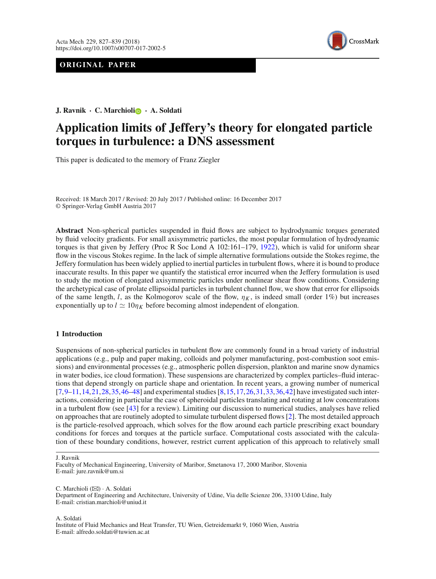# **ORIGINAL PAPER**



**J. Ravnik · C. Marchiol[i](http://orcid.org/0000-0003-0208-460X) · A. Soldati**

# **Application limits of Jeffery's theory for elongated particle torques in turbulence: a DNS assessment**

This paper is dedicated to the memory of Franz Ziegler

Received: 18 March 2017 / Revised: 20 July 2017 / Published online: 16 December 2017 © Springer-Verlag GmbH Austria 2017

**Abstract** Non-spherical particles suspended in fluid flows are subject to hydrodynamic torques generated by fluid velocity gradients. For small axisymmetric particles, the most popular formulation of hydrodynamic torques is that given by Jeffery (Proc R Soc Lond A 102:161–179, [1922\)](#page-11-0), which is valid for uniform shear flow in the viscous Stokes regime. In the lack of simple alternative formulations outside the Stokes regime, the Jeffery formulation has been widely applied to inertial particles in turbulent flows, where it is bound to produce inaccurate results. In this paper we quantify the statistical error incurred when the Jeffery formulation is used to study the motion of elongated axisymmetric particles under nonlinear shear flow conditions. Considering the archetypical case of prolate ellipsoidal particles in turbulent channel flow, we show that error for ellipsoids of the same length, *l*, as the Kolmogorov scale of the flow,  $\eta_K$ , is indeed small (order 1%) but increases exponentially up to  $l \simeq 10\eta_K$  before becoming almost independent of elongation.

## **1 Introduction**

Suspensions of non-spherical particles in turbulent flow are commonly found in a broad variety of industrial applications (e.g., pulp and paper making, colloids and polymer manufacturing, post-combustion soot emissions) and environmental processes (e.g., atmospheric pollen dispersion, plankton and marine snow dynamics in water bodies, ice cloud formation). These suspensions are characterized by complex particles–fluid interactions that depend strongly on particle shape and orientation. In recent years, a growing number of numerical [\[7](#page-11-1)[,9](#page-11-2)[–11](#page-11-3),[14](#page-11-4)[,21](#page-11-5),[28](#page-11-6)[,35](#page-11-7),[46](#page-12-0)[–48](#page-12-1)] and experimental studies [\[8](#page-11-8)[,15](#page-11-9),[17](#page-11-10)[,26](#page-11-11),[31](#page-11-12)[,33](#page-11-13),[36](#page-11-14)[,42](#page-12-2)] have investigated such interactions, considering in particular the case of spheroidal particles translating and rotating at low concentrations in a turbulent flow (see [\[43](#page-12-3)] for a review). Limiting our discussion to numerical studies, analyses have relied on approaches that are routinely adopted to simulate turbulent dispersed flows [\[2](#page-11-15)]. The most detailed approach is the particle-resolved approach, which solves for the flow around each particle prescribing exact boundary conditions for forces and torques at the particle surface. Computational costs associated with the calculation of these boundary conditions, however, restrict current application of this approach to relatively small

C. Marchioli  $(\boxtimes)$  · A. Soldati Department of Engineering and Architecture, University of Udine, Via delle Scienze 206, 33100 Udine, Italy E-mail: cristian.marchioli@uniud.it

A. Soldati

Institute of Fluid Mechanics and Heat Transfer, TU Wien, Getreidemarkt 9, 1060 Wien, Austria E-mail: alfredo.soldati@tuwien.ac.at

J. Ravnik

Faculty of Mechanical Engineering, University of Maribor, Smetanova 17, 2000 Maribor, Slovenia E-mail: jure.ravnik@um.si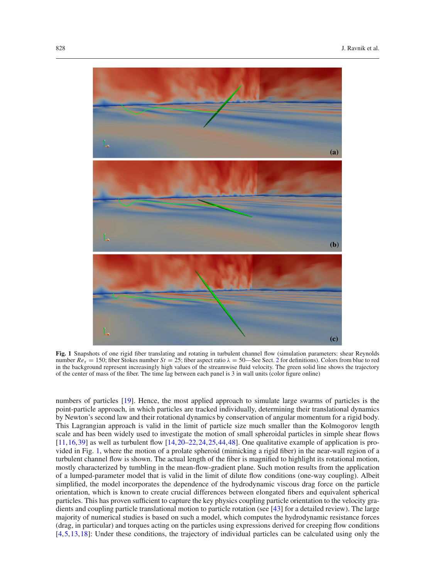

**Fig. 1** Snapshots of one rigid fiber translating and rotating in turbulent channel flow (simulation parameters: shear Reynolds number  $Re_\tau = 150$ ; fiber Stokes number  $St = 25$  $St = 25$  $St = 25$ ; fiber aspect ratio  $\lambda = 50$ —See Sect. 2 for definitions). Colors from blue to red in the background represent increasingly high values of the streamwise fluid velocity. The green solid line shows the trajectory of the center of mass of the fiber. The time lag between each panel is 3 in wall units (color figure online)

<span id="page-1-0"></span>numbers of particles [\[19](#page-11-16)]. Hence, the most applied approach to simulate large swarms of particles is the point-particle approach, in which particles are tracked individually, determining their translational dynamics by Newton's second law and their rotational dynamics by conservation of angular momentum for a rigid body. This Lagrangian approach is valid in the limit of particle size much smaller than the Kolmogorov length scale and has been widely used to investigate the motion of small spheroidal particles in simple shear flows  $[11,16,39]$  $[11,16,39]$  $[11,16,39]$  $[11,16,39]$  as well as turbulent flow  $[14,20-22,24,25,44,48]$  $[14,20-22,24,25,44,48]$  $[14,20-22,24,25,44,48]$  $[14,20-22,24,25,44,48]$  $[14,20-22,24,25,44,48]$  $[14,20-22,24,25,44,48]$  $[14,20-22,24,25,44,48]$  $[14,20-22,24,25,44,48]$  $[14,20-22,24,25,44,48]$ . One qualitative example of application is provided in Fig. [1,](#page-1-0) where the motion of a prolate spheroid (mimicking a rigid fiber) in the near-wall region of a turbulent channel flow is shown. The actual length of the fiber is magnified to highlight its rotational motion, mostly characterized by tumbling in the mean-flow-gradient plane. Such motion results from the application of a lumped-parameter model that is valid in the limit of dilute flow conditions (one-way coupling). Albeit simplified, the model incorporates the dependence of the hydrodynamic viscous drag force on the particle orientation, which is known to create crucial differences between elongated fibers and equivalent spherical particles. This has proven sufficient to capture the key physics coupling particle orientation to the velocity gradients and coupling particle translational motion to particle rotation (see [\[43\]](#page-12-3) for a detailed review). The large majority of numerical studies is based on such a model, which computes the hydrodynamic resistance forces (drag, in particular) and torques acting on the particles using expressions derived for creeping flow conditions [\[4](#page-11-22)[,5](#page-11-23)[,13,](#page-11-24)[18](#page-11-0)]: Under these conditions, the trajectory of individual particles can be calculated using only the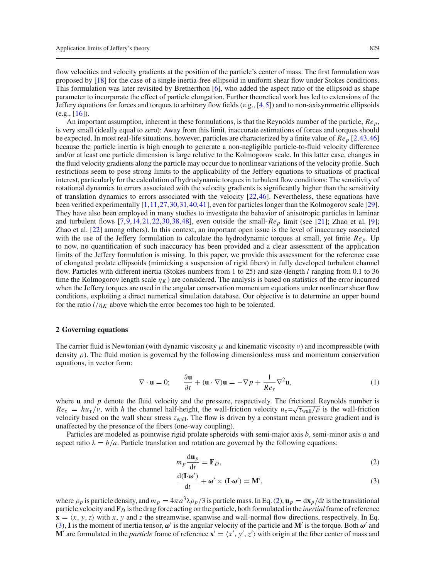flow velocities and velocity gradients at the position of the particle's center of mass. The first formulation was proposed by [\[18](#page-11-0)] for the case of a single inertia-free ellipsoid in uniform shear flow under Stokes conditions. This formulation was later revisited by Bretherthon [\[6](#page-11-25)], who added the aspect ratio of the ellipsoid as shape parameter to incorporate the effect of particle elongation. Further theoretical work has led to extensions of the Jeffery equations for forces and torques to arbitrary flow fields  $(e.g., [4,5])$  $(e.g., [4,5])$  $(e.g., [4,5])$  $(e.g., [4,5])$  $(e.g., [4,5])$  and to non-axisymmetric ellipsoids (e.g., [\[16\]](#page-11-17)).

An important assumption, inherent in these formulations, is that the Reynolds number of the particle, *Rep*, is very small (ideally equal to zero): Away from this limit, inaccurate estimations of forces and torques should be expected. In most real-life situations, however, particles are characterized by a finite value of *Rep* [\[2](#page-11-15)[,43,](#page-12-3)[46](#page-12-0)] because the particle inertia is high enough to generate a non-negligible particle-to-fluid velocity difference and/or at least one particle dimension is large relative to the Kolmogorov scale. In this latter case, changes in the fluid velocity gradients along the particle may occur due to nonlinear variations of the velocity profile. Such restrictions seem to pose strong limits to the applicability of the Jeffery equations to situations of practical interest, particularly for the calculation of hydrodynamic torques in turbulent flow conditions: The sensitivity of rotational dynamics to errors associated with the velocity gradients is significantly higher than the sensitivity of translation dynamics to errors associated with the velocity  $[22,46]$  $[22,46]$  $[22,46]$ . Nevertheless, these equations have been verified experimentally [\[1,](#page-11-26)[11](#page-11-3)[,27,](#page-11-27)[30](#page-11-28)[,31,](#page-11-12)[40](#page-12-6)[,41\]](#page-12-7), even for particles longer than the Kolmogorov scale [\[29\]](#page-11-29). They have also been employed in many studies to investigate the behavior of anisotropic particles in laminar and turbulent flows  $[7,9,14,21,22,30,38,48]$  $[7,9,14,21,22,30,38,48]$  $[7,9,14,21,22,30,38,48]$  $[7,9,14,21,22,30,38,48]$  $[7,9,14,21,22,30,38,48]$  $[7,9,14,21,22,30,38,48]$  $[7,9,14,21,22,30,38,48]$  $[7,9,14,21,22,30,38,48]$  $[7,9,14,21,22,30,38,48]$ , even outside the small- $Re_p$  limit (see [\[21](#page-11-5)]; Zhao et al. [\[9](#page-11-2)]; Zhao et al. [\[22](#page-11-19)] among others). In this context, an important open issue is the level of inaccuracy associated with the use of the Jeffery formulation to calculate the hydrodynamic torques at small, yet finite *Rep*. Up to now, no quantification of such inaccuracy has been provided and a clear assessment of the application limits of the Jeffery formulation is missing. In this paper, we provide this assessment for the reference case of elongated prolate ellipsoids (mimicking a suspension of rigid fibers) in fully developed turbulent channel flow. Particles with different inertia (Stokes numbers from 1 to 25) and size (length *l* ranging from 0.1 to 36 time the Kolmogorov length scale  $\eta_K$ ) are considered. The analysis is based on statistics of the error incurred when the Jeffery torques are used in the angular conservation momentum equations under nonlinear shear flow conditions, exploiting a direct numerical simulation database. Our objective is to determine an upper bound for the ratio  $l/\eta_K$  above which the error becomes too high to be tolerated.

#### <span id="page-2-0"></span>**2 Governing equations**

The carrier fluid is Newtonian (with dynamic viscosity  $\mu$  and kinematic viscosity  $\nu$ ) and incompressible (with density  $\rho$ ). The fluid motion is governed by the following dimensionless mass and momentum conservation equations, in vector form:

$$
\nabla \cdot \mathbf{u} = 0; \qquad \frac{\partial \mathbf{u}}{\partial t} + (\mathbf{u} \cdot \nabla) \mathbf{u} = -\nabla p + \frac{1}{Re_{\tau}} \nabla^2 \mathbf{u}, \tag{1}
$$

where **u** and *p* denote the fluid velocity and the pressure, respectively. The frictional Reynolds number is  $Re_{\tau} = h u_{\tau}/v$ , with *h* the channel half-height, the wall-friction velocity  $u_{\tau} = \sqrt{\tau_{\text{wall}}/\rho}$  is the wall-friction velocity based on the wall shear stress  $\tau_{wall}$ . The flow is driven by a constant mean pressure gradient and is unaffected by the presence of the fibers (one-way coupling).

Particles are modeled as pointwise rigid prolate spheroids with semi-major axis *b*, semi-minor axis *a* and aspect ratio  $\lambda = b/a$ . Particle translation and rotation are governed by the following equations:

<span id="page-2-1"></span>
$$
m_p \frac{\mathrm{d} \mathbf{u}_p}{\mathrm{d} t} = \mathbf{F}_D,\tag{2}
$$

$$
\frac{d(\mathbf{I} \cdot \boldsymbol{\omega}')}{dt} + \boldsymbol{\omega}' \times (\mathbf{I} \cdot \boldsymbol{\omega}') = \mathbf{M}',\tag{3}
$$

where  $\rho_p$  is particle density, and  $m_p = 4\pi a^3 \lambda \rho_p/3$  is particle mass. In Eq. [\(2\)](#page-2-1),  $\mathbf{u}_p = \frac{dx_p}{dt}$  is the translational particle velocity and  $\mathbf{F}_D$  is the drag force acting on the particle, both formulated in the *inertial* frame of reference  $\mathbf{x} = \langle x, y, z \rangle$  with x, y and z the streamwise, spanwise and wall-normal flow directions, respectively. In Eq. [\(3\)](#page-2-1), **I** is the moment of inertia tensor,  $\omega'$  is the angular velocity of the particle and **M**' is the torque. Both  $\omega'$  and **M**' are formulated in the *particle* frame of reference  $\mathbf{x}' = \langle x', y', z' \rangle$  with origin at the fiber center of mass and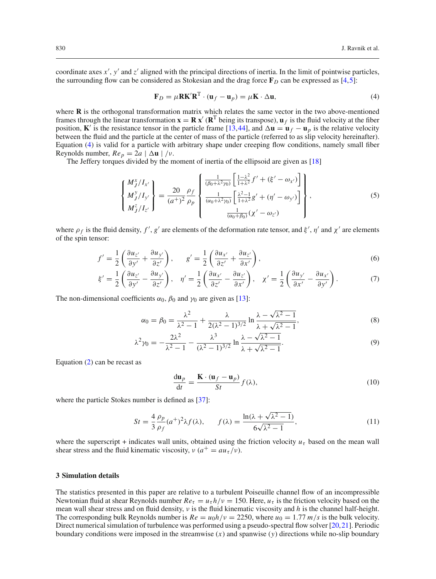coordinate axes x', y' and z' aligned with the principal directions of inertia. In the limit of pointwise particles, the surrounding flow can be considered as Stokesian and the drag force  $\mathbf{F}_D$  can be expressed as [\[4](#page-11-22)[,5\]](#page-11-23):

<span id="page-3-0"></span>
$$
\mathbf{F}_D = \mu \mathbf{R} \mathbf{K}' \mathbf{R}^{\mathrm{T}} \cdot (\mathbf{u}_f - \mathbf{u}_p) = \mu \mathbf{K} \cdot \Delta \mathbf{u},\tag{4}
$$

where **R** is the orthogonal transformation matrix which relates the same vector in the two above-mentioned frames through the linear transformation  $\mathbf{x} = \mathbf{R} \mathbf{x}' (\mathbf{R}^T)$  being its transpose),  $\mathbf{u}_f$  is the fluid velocity at the fiber position, **K**' is the resistance tensor in the particle frame [\[13](#page-11-24)[,44\]](#page-12-5), and  $\Delta \mathbf{u} = \mathbf{u}_f - \mathbf{u}_p$  is the relative velocity between the fluid and the particle at the center of mass of the particle (referred to as slip velocity hereinafter). Equation [\(4\)](#page-3-0) is valid for a particle with arbitrary shape under creeping flow conditions, namely small fiber Reynolds number,  $Re_p = 2a \mid \Delta \mathbf{u} \mid /v$ .

The Jeffery torques divided by the moment of inertia of the ellipsoid are given as [\[18](#page-11-0)]

<span id="page-3-2"></span>
$$
\begin{Bmatrix} M_J^x / I_{x'} \\ M_J^y / I_{y'} \\ M_J^z / I_{z'} \end{Bmatrix} = \frac{20}{(a^+)^2} \frac{\rho_f}{\rho_p} \begin{Bmatrix} \frac{1}{(\beta_0 + \lambda^2 \gamma_0)} \left[ \frac{1 - \lambda^2}{1 + \lambda^2} f' + (\xi' - \omega_{x'}) \right] \\ \frac{1}{(\alpha_0 + \lambda^2 \gamma_0)} \left[ \frac{\lambda^2 - 1}{1 + \lambda^2} g' + (\eta' - \omega_{y'}) \right] \\ \frac{1}{(\alpha_0 + \beta_0)} (\chi' - \omega_{z'}) \end{Bmatrix},
$$
(5)

where  $\rho_f$  is the fluid density,  $f', g'$  are elements of the deformation rate tensor, and  $\xi', \eta'$  and  $\chi'$  are elements of the spin tensor:

$$
f' = \frac{1}{2} \left( \frac{\partial u_{z'}}{\partial y'} + \frac{\partial u_{y'}}{\partial z'} \right), \qquad g' = \frac{1}{2} \left( \frac{\partial u_{x'}}{\partial z'} + \frac{\partial u_{z'}}{\partial x'} \right),\tag{6}
$$

$$
\xi' = \frac{1}{2} \left( \frac{\partial u_{z'}}{\partial y'} - \frac{\partial u_{y'}}{\partial z'} \right), \quad \eta' = \frac{1}{2} \left( \frac{\partial u_{x'}}{\partial z'} - \frac{\partial u_{z'}}{\partial x'} \right), \quad \chi' = \frac{1}{2} \left( \frac{\partial u_{y'}}{\partial x'} - \frac{\partial u_{x'}}{\partial y'} \right). \tag{7}
$$

The non-dimensional coefficients  $\alpha_0$ ,  $\beta_0$  and  $\gamma_0$  are given as [\[13](#page-11-24)]:

$$
\alpha_0 = \beta_0 = \frac{\lambda^2}{\lambda^2 - 1} + \frac{\lambda}{2(\lambda^2 - 1)^{3/2}} \ln \frac{\lambda - \sqrt{\lambda^2 - 1}}{\lambda + \sqrt{\lambda^2 - 1}},
$$
\n(8)

$$
\lambda^2 \gamma_0 = -\frac{2\lambda^2}{\lambda^2 - 1} - \frac{\lambda^3}{(\lambda^2 - 1)^{3/2}} \ln \frac{\lambda - \sqrt{\lambda^2 - 1}}{\lambda + \sqrt{\lambda^2 - 1}}.
$$
\n(9)

Equation  $(2)$  can be recast as

$$
\frac{\mathrm{d}\mathbf{u}_p}{\mathrm{d}t} = \frac{\mathbf{K} \cdot (\mathbf{u}_f - \mathbf{u}_p)}{St} f(\lambda),\tag{10}
$$

where the particle Stokes number is defined as [\[37](#page-11-31)]:

<span id="page-3-1"></span>
$$
St = \frac{4}{3} \frac{\rho_p}{\rho_f} (a^+)^2 \lambda f(\lambda), \qquad f(\lambda) = \frac{\ln(\lambda + \sqrt{\lambda^2 - 1})}{6\sqrt{\lambda^2 - 1}},
$$
\n(11)

where the superscript + indicates wall units, obtained using the friction velocity  $u<sub>\tau</sub>$  based on the mean wall shear stress and the fluid kinematic viscosity,  $v (a^+ = a u_\tau/v)$ .

# **3 Simulation details**

The statistics presented in this paper are relative to a turbulent Poiseuille channel flow of an incompressible Newtonian fluid at shear Reynolds number  $Re_\tau = u_\tau h/v = 150$ . Here,  $u_\tau$  is the friction velocity based on the mean wall shear stress and on fluid density, ν is the fluid kinematic viscosity and *h* is the channel half-height. The corresponding bulk Reynolds number is  $Re = u_0 h/v = 2250$ , where  $u_0 = 1.77$   $m/s$  is the bulk velocity. Direct numerical simulation of turbulence was performed using a pseudo-spectral flow solver [\[20](#page-11-18),[21\]](#page-11-5). Periodic boundary conditions were imposed in the streamwise (*x*) and spanwise (*y*) directions while no-slip boundary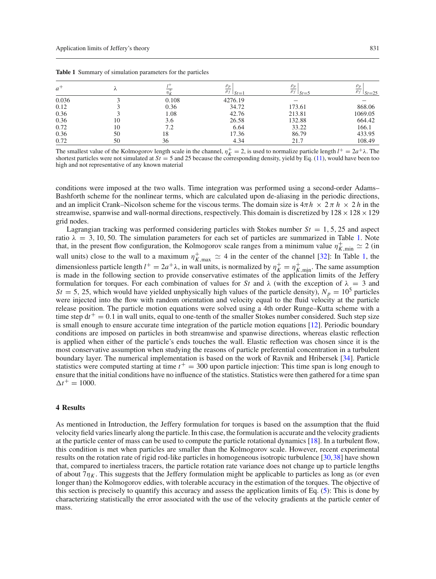| $a^+$ |    |       | $\rho_f \mid_{St=1}$ | $\rho_p$<br>$\rho_f \mid_{St=5}$ | $\rho_p$<br>$\rho_f \mid_{St=25}$ |
|-------|----|-------|----------------------|----------------------------------|-----------------------------------|
| 0.036 |    | 0.108 | 4276.19              |                                  |                                   |
| 0.12  |    | 0.36  | 34.72                | 173.61                           | 868.06                            |
| 0.36  |    | 1.08  | 42.76                | 213.81                           | 1069.05                           |
| 0.36  | 10 | 3.6   | 26.58                | 132.88                           | 664.42                            |
| 0.72  | 10 | 7.2   | 6.64                 | 33.22                            | 166.1                             |
| 0.36  | 50 | 18    | 17.36                | 86.79                            | 433.95                            |
| 0.72  | 50 | 36    | 4.34                 | 21.7                             | 108.49                            |

<span id="page-4-0"></span>**Table 1** Summary of simulation parameters for the particles

The smallest value of the Kolmogorov length scale in the channel,  $\eta_K^+ = 2$ , is used to normalize particle length  $l^+ = 2a^+ \lambda$ . The shortest particles were not simulated at  $St = 5$  and 25 because the corresponding density, yield by Eq.  $(11)$ , would have been too high and not representative of any known material

conditions were imposed at the two walls. Time integration was performed using a second-order Adams– Bashforth scheme for the nonlinear terms, which are calculated upon de-aliasing in the periodic directions, and an implicit Crank–Nicolson scheme for the viscous terms. The domain size is  $4\pi h \times 2\pi h \times 2h$  in the streamwise, spanwise and wall-normal directions, respectively. This domain is discretized by  $128 \times 128 \times 129$ grid nodes.

Lagrangian tracking was performed considering particles with Stokes number  $St = 1, 5, 25$  and aspect ratio  $\lambda = 3, 10, 50$ . The simulation parameters for each set of particles are summarized in Table [1.](#page-4-0) Note that, in the present flow configuration, the Kolmogorov scale ranges from a minimum value  $\eta^+_{K,\text{min}} \simeq 2$  (in wall units) close to the wall to a maximum  $\eta_{K,\max}^+ \simeq 4$  in the center of the channel [\[32](#page-11-32)]: In Table [1,](#page-4-0) the dimensionless particle length  $l^+ = 2a^+ \lambda$ , in wall units, is normalized by  $\eta_K^+ = \eta_{K,\min}^+$ . The same assumption is made in the following section to provide conservative estimates of the application limits of the Jeffery formulation for torques. For each combination of values for *St* and  $\lambda$  (with the exception of  $\lambda = 3$  and  $St = 5$ , 25, which would have yielded unphysically high values of the particle density),  $N_p = 10^5$  particles were injected into the flow with random orientation and velocity equal to the fluid velocity at the particle release position. The particle motion equations were solved using a 4th order Runge–Kutta scheme with a time step  $dt^+ = 0.1$  in wall units, equal to one-tenth of the smaller Stokes number considered. Such step size is small enough to ensure accurate time integration of the particle motion equations [\[12\]](#page-11-33). Periodic boundary conditions are imposed on particles in both streamwise and spanwise directions, whereas elastic reflection is applied when either of the particle's ends touches the wall. Elastic reflection was chosen since it is the most conservative assumption when studying the reasons of particle preferential concentration in a turbulent boundary layer. The numerical implementation is based on the work of Ravnik and Hribersek [\[34\]](#page-11-34). Particle statistics were computed starting at time  $t<sup>+</sup> = 300$  upon particle injection: This time span is long enough to ensure that the initial conditions have no influence of the statistics. Statistics were then gathered for a time span  $\Delta t^+ = 1000.$ 

## **4 Results**

As mentioned in Introduction, the Jeffery formulation for torques is based on the assumption that the fluid velocity field varies linearly along the particle. In this case, the formulation is accurate and the velocity gradients at the particle center of mass can be used to compute the particle rotational dynamics [\[18](#page-11-0)]. In a turbulent flow, this condition is met when particles are smaller than the Kolmogorov scale. However, recent experimental results on the rotation rate of rigid rod-like particles in homogeneous isotropic turbulence [\[30](#page-11-28)[,38](#page-11-30)] have shown that, compared to inertialess tracers, the particle rotation rate variance does not change up to particle lengths of about  $7\eta_K$ . This suggests that the Jeffery formulation might be applicable to particles as long as (or even longer than) the Kolmogorov eddies, with tolerable accuracy in the estimation of the torques. The objective of this section is precisely to quantify this accuracy and assess the application limits of Eq. [\(5\)](#page-3-2): This is done by characterizing statistically the error associated with the use of the velocity gradients at the particle center of mass.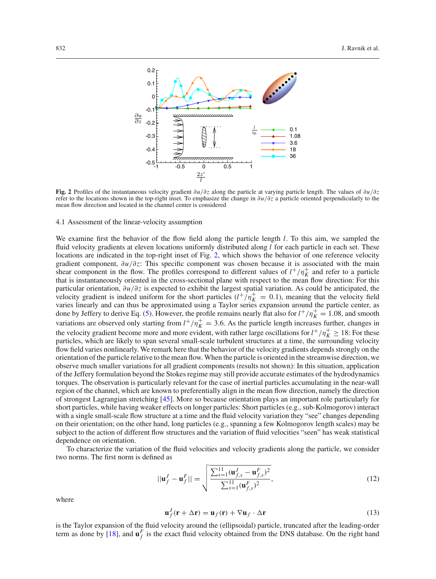

<span id="page-5-0"></span>**Fig. 2** Profiles of the instantaneous velocity gradient ∂*u*/∂*z* along the particle at varying particle length. The values of ∂*u*/∂*z* refer to the locations shown in the top-right inset. To emphasize the change in ∂*u*/∂*z* a particle oriented perpendicularly to the mean flow direction and located in the channel center is considered

#### 4.1 Assessment of the linear-velocity assumption

We examine first the behavior of the flow field along the particle length *l*. To this aim, we sampled the fluid velocity gradients at eleven locations uniformly distributed along *l* for each particle in each set. These locations are indicated in the top-right inset of Fig. [2,](#page-5-0) which shows the behavior of one reference velocity gradient component, ∂*u*/∂*z*: This specific component was chosen because it is associated with the main shear component in the flow. The profiles correspond to different values of  $l^+/\eta^+_K$  and refer to a particle that is instantaneously oriented in the cross-sectional plane with respect to the mean flow direction: For this particular orientation, ∂*u*/∂*z* is expected to exhibit the largest spatial variation. As could be anticipated, the velocity gradient is indeed uniform for the short particles  $(l^+/\eta^+_{K} = 0.1)$ , meaning that the velocity field varies linearly and can thus be approximated using a Taylor series expansion around the particle center, as done by Jeffery to derive Eq. [\(5\)](#page-3-2). However, the profile remains nearly flat also for  $l^+/\eta^+_K = 1.08$ , and smooth variations are observed only starting from  $l^+/n_K^+ = 3.6$ . As the particle length increases further, changes in the velocity gradient become more and more evident, with rather large oscillations for  $l^+/\eta_K^+ \geq 18$ : For these particles, which are likely to span several small-scale turbulent structures at a time, the surrounding velocity flow field varies nonlinearly. We remark here that the behavior of the velocity gradients depends strongly on the orientation of the particle relative to the mean flow. When the particle is oriented in the streamwise direction, we observe much smaller variations for all gradient components (results not shown): In this situation, application of the Jeffery formulation beyond the Stokes regime may still provide accurate estimates of the hydrodynamics torques. The observation is particularly relevant for the case of inertial particles accumulating in the near-wall region of the channel, which are known to preferentially align in the mean flow direction, namely the direction of strongest Lagrangian stretching [\[45](#page-12-8)]. More so because orientation plays an important role particularly for short particles, while having weaker effects on longer particles: Short particles (e.g., sub-Kolmogorov) interact with a single small-scale flow structure at a time and the fluid velocity variation they "see" changes depending on their orientation; on the other hand, long particles (e.g., spanning a few Kolmogorov length scales) may be subject to the action of different flow structures and the variation of fluid velocities "seen" has weak statistical dependence on orientation.

To characterize the variation of the fluid velocities and velocity gradients along the particle, we consider two norms. The first norm is defined as

<span id="page-5-1"></span>
$$
||\mathbf{u}_f^J - \mathbf{u}_f^F|| = \sqrt{\frac{\sum_{s=1}^{11} (\mathbf{u}_{f,s}^J - \mathbf{u}_{f,s}^F)^2}{\sum_{s=1}^{11} (\mathbf{u}_{f,s}^F)^2}},
$$
(12)

where

$$
\mathbf{u}_f^J(\mathbf{r} + \Delta \mathbf{r}) = \mathbf{u}_f(\mathbf{r}) + \nabla \mathbf{u}_f \cdot \Delta \mathbf{r}
$$
 (13)

is the Taylor expansion of the fluid velocity around the (ellipsoidal) particle, truncated after the leading-order term as done by [\[18\]](#page-11-0), and  $\mathbf{u}_f^F$  is the exact fluid velocity obtained from the DNS database. On the right hand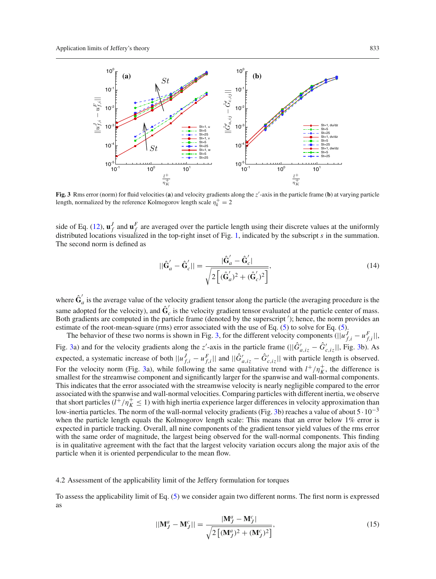

<span id="page-6-0"></span>Fig. 3 Rms error (norm) for fluid velocities (a) and velocity gradients along the  $z'$ -axis in the particle frame (b) at varying particle length, normalized by the reference Kolmogorov length scale  $\eta_k^+ = 2$ 

side of Eq. [\(12\)](#page-5-1),  $\mathbf{u}_f^J$  and  $\mathbf{u}_f^F$  are averaged over the particle length using their discrete values at the uniformly distributed locations visualized in the top-right inset of Fig. [1,](#page-1-0) indicated by the subscript *s* in the summation. The second norm is defined as

$$
||\hat{\mathbf{G}}'_{a} - \hat{\mathbf{G}}'_{c}|| = \frac{|\hat{\mathbf{G}}'_{a} - \hat{\mathbf{G}}'_{c}|}{\sqrt{2\left[ (\hat{\mathbf{G}}'_{a})^{2} + (\hat{\mathbf{G}}'_{c})^{2} \right]}}\tag{14}
$$

where  $\hat{G}'_a$  is the average value of the velocity gradient tensor along the particle (the averaging procedure is the same adopted for the velocity), and  $\hat{G}_c$  is the velocity gradient tensor evaluated at the particle center of mass. Both gradients are computed in the particle frame (denoted by the superscript ); hence, the norm provides an estimate of the root-mean-square (rms) error associated with the use of Eq. [\(5\)](#page-3-2) to solve for Eq. [\(5\)](#page-3-2).

The behavior of these two norms is shown in Fig. [3,](#page-6-0) for the different velocity components  $(||u_{f,i}^J - u_{f,i}^F||,$ Fig. [3a](#page-6-0)) and for the velocity gradients along the *z*'-axis in the particle frame ( $||G'_{a,iz} - G'_{c,iz}||$ , Fig. [3b](#page-6-0)). As expected, a systematic increase of both  $||u_{f,i}^J - u_{f,i}^F||$  and  $||\hat{G}_{a,iz}' - \hat{G}_{c,iz}'||$  with particle length is observed. For the velocity norm (Fig. [3a](#page-6-0)), while following the same qualitative trend with  $l^+/\eta^+_K$ , the difference is smallest for the streamwise component and significantly larger for the spanwise and wall-normal components. This indicates that the error associated with the streamwise velocity is nearly negligible compared to the error associated with the spanwise and wall-normal velocities. Comparing particles with different inertia, we observe that short particles  $(l^+/n_K^+ \leq 1)$  with high inertia experience larger differences in velocity approximation than low-inertia particles. The norm of the wall-normal velocity gradients (Fig. [3b](#page-6-0)) reaches a value of about 5·10−<sup>3</sup> when the particle length equals the Kolmogorov length scale: This means that an error below 1% error is expected in particle tracking. Overall, all nine components of the gradient tensor yield values of the rms error with the same order of magnitude, the largest being observed for the wall-normal components. This finding is in qualitative agreement with the fact that the largest velocity variation occurs along the major axis of the particle when it is oriented perpendicular to the mean flow.

#### 4.2 Assessment of the applicability limit of the Jeffery formulation for torques

To assess the applicability limit of Eq. [\(5\)](#page-3-2) we consider again two different norms. The first norm is expressed as

$$
||\mathbf{M}_{J}^{a} - \mathbf{M}_{J}^{c}|| = \frac{|\mathbf{M}_{J}^{a} - \mathbf{M}_{J}^{c}|}{\sqrt{2\left[ (\mathbf{M}_{J}^{a})^{2} + (\mathbf{M}_{J}^{c})^{2} \right]}}\tag{15}
$$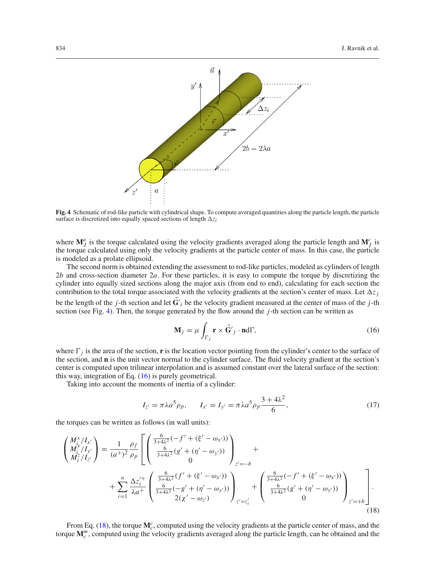

<span id="page-7-0"></span>**Fig. 4** Schematic of rod-like particle with cylindrical shape. To compute averaged quantities along the particle length, the particle surface is discretized into equally spaced sections of length  $\Delta z_i$ 

where  $\mathbf{M}_{J}^{a}$  is the torque calculated using the velocity gradients averaged along the particle length and  $\mathbf{M}_{J}^{c}$  is the torque calculated using only the velocity gradients at the particle center of mass. In this case, the particle is modeled as a prolate ellipsoid.

The second norm is obtained extending the assessment to rod-like particles, modeled as cylinders of length 2*b* and cross-section diameter 2*a*. For these particles, it is easy to compute the torque by discretizing the cylinder into equally sized sections along the major axis (from end to end), calculating for each section the contribution to the total torque associated with the velocity gradients at the section's center of mass. Let  $\Delta z_i$ be the length of the *j*-th section and let **G**ˆ *<sup>i</sup>* be the velocity gradient measured at the center of mass of the *j*-th section (see Fig. [4\)](#page-7-0). Then, the torque generated by the flow around the *j*-th section can be written as

<span id="page-7-1"></span>
$$
\mathbf{M}_{j} = \mu \int_{\Gamma_{j}} \mathbf{r} \times \hat{\mathbf{G}}'_{j} \cdot \mathbf{n} d\Gamma,
$$
 (16)

where  $\Gamma_i$  is the area of the section, **r** is the location vector pointing from the cylinder's center to the surface of the section, and **n** is the unit vector normal to the cylinder surface. The fluid velocity gradient at the section's center is computed upon trilinear interpolation and is assumed constant over the lateral surface of the section: this way, integration of Eq. [\(16\)](#page-7-1) is purely geometrical.

Taking into account the moments of inertia of a cylinder:

$$
I_{z'} = \pi \lambda a^5 \rho_p, \qquad I_{x'} = I_{y'} = \pi \lambda a^5 \rho_p \frac{3 + 4\lambda^2}{6}, \tag{17}
$$

the torques can be written as follows (in wall units):

<span id="page-7-2"></span>
$$
\begin{split}\n\begin{pmatrix}\nM_i^x / I_{x'} \\
M_i^y / I_{y'}\n\end{pmatrix} &= \frac{1}{(a^+)^2} \frac{\rho_f}{\rho_p} \left[ \begin{pmatrix}\n\frac{6}{3+4\lambda^2} (-f' + (\xi' - \omega_{x'})) \\
\frac{6}{3+4\lambda^2} (g' + (\eta' - \omega_{y'})) \\
0\n\end{pmatrix} \right]_{z' = -b} \\
&+ \sum_{i=1}^n \frac{\Delta z_i^{\prime +}}{\lambda a^+} \left( \frac{\frac{6}{3+4\lambda^2} (f' + (\xi' - \omega_{x'}))}{\frac{6}{3+4\lambda^2} (-g' + (\eta' - \omega_{y'}))} \right)_{z' = z_i'} + \begin{pmatrix}\n\frac{6}{3+4\lambda^2} (-f' + (\xi' - \omega_{x'})) \\
\frac{6}{3+4\lambda^2} (g' + (\eta' - \omega_{y'})) \\
0\n\end{pmatrix}_{z' = +b} \right].\n\end{split}
$$
\n(18)

From Eq. [\(18\)](#page-7-2), the torque  $M_c^c$ , computed using the velocity gradients at the particle center of mass, and the torque  $M_c^m$ , computed using the velocity gradients averaged along the particle length, can be obtained and the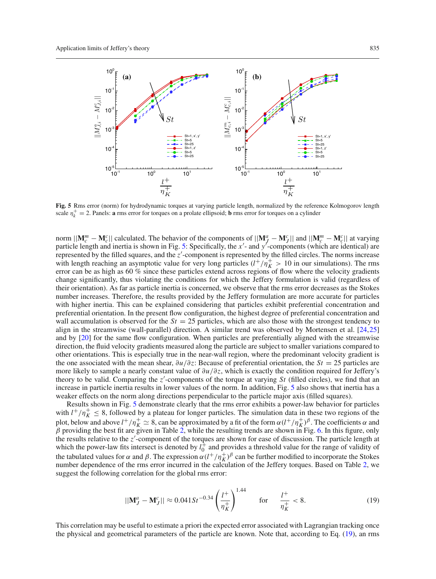

<span id="page-8-0"></span>**Fig. 5** Rms error (norm) for hydrodynamic torques at varying particle length, normalized by the reference Kolmogorov length scale  $\eta_k^+ = 2$ . Panels: **a** rms error for torques on a prolate ellipsoid; **b** rms error for torques on a cylinder

norm  $||\mathbf{M}_c^m - \mathbf{M}_c^c||$  calculated. The behavior of the components of  $||\mathbf{M}_J^a - \mathbf{M}_J^c||$  and  $||\mathbf{M}_c^m - \mathbf{M}_c^c||$  at varying particle length and inertia is shown in Fig. [5:](#page-8-0) Specifically, the x'- and y'-components (which are identical) are represented by the filled squares, and the *z* -component is represented by the filled circles. The norms increase with length reaching an asymptotic value for very long particles  $(l^+/\eta^+_K > 10$  in our simulations). The rms error can be as high as 60 % since these particles extend across regions of flow where the velocity gradients change significantly, thus violating the conditions for which the Jeffery formulation is valid (regardless of their orientation). As far as particle inertia is concerned, we observe that the rms error decreases as the Stokes number increases. Therefore, the results provided by the Jeffery formulation are more accurate for particles with higher inertia. This can be explained considering that particles exhibit preferential concentration and preferential orientation. In the present flow configuration, the highest degree of preferential concentration and wall accumulation is observed for the  $St = 25$  particles, which are also those with the strongest tendency to align in the streamwise (wall-parallel) direction. A similar trend was observed by Mortensen et al. [\[24,](#page-11-20)[25](#page-11-21)] and by [\[20](#page-11-18)] for the same flow configuration. When particles are preferentially aligned with the streamwise direction, the fluid velocity gradients measured along the particle are subject to smaller variations compared to other orientations. This is especially true in the near-wall region, where the predominant velocity gradient is the one associated with the mean shear, ∂*u*/∂*z*: Because of preferential orientation, the *St* = 25 particles are more likely to sample a nearly constant value of ∂*u*/∂*z*, which is exactly the condition required for Jeffery's theory to be valid. Comparing the *z* -components of the torque at varying *St* (filled circles), we find that an increase in particle inertia results in lower values of the norm. In addition, Fig. [5](#page-8-0) also shows that inertia has a weaker effects on the norm along directions perpendicular to the particle major axis (filled squares).

Results shown in Fig. [5](#page-8-0) demonstrate clearly that the rms error exhibits a power-law behavior for particles with  $l^+/\eta^+_K \leq 8$ , followed by a plateau for longer particles. The simulation data in these two regions of the plot, below and above  $l^+/n_K^+ \simeq 8$ , can be approximated by a fit of the form  $\alpha(l^+/n_K^+)^{\beta}$ . The coefficients  $\alpha$  and  $\beta$  providing the best fit are given in Table [2,](#page-9-0) while the resulting trends are shown in Fig. [6.](#page-9-1) In this figure, only the results relative to the *z* -component of the torques are shown for ease of discussion. The particle length at which the power-law fits intersect is denoted by  $l_0^+$  and provides a threshold value for the range of validity of the tabulated values for  $\alpha$  and  $\beta$ . The expression  $\alpha(l^+/n_K^+)^{\beta}$  can be further modified to incorporate the Stokes number dependence of the rms error incurred in the calculation of the Jeffery torques. Based on Table [2,](#page-9-0) we suggest the following correlation for the global rms error:

<span id="page-8-1"></span>
$$
||\mathbf{M}_{J}^{a} - \mathbf{M}_{J}^{c}|| \approx 0.041 S t^{-0.34} \left(\frac{l^{+}}{\eta_{K}^{+}}\right)^{1.44} \quad \text{for} \quad \frac{l^{+}}{\eta_{K}^{+}} < 8. \tag{19}
$$

This correlation may be useful to estimate a priori the expected error associated with Lagrangian tracking once the physical and geometrical parameters of the particle are known. Note that, according to Eq. [\(19\)](#page-8-1), an rms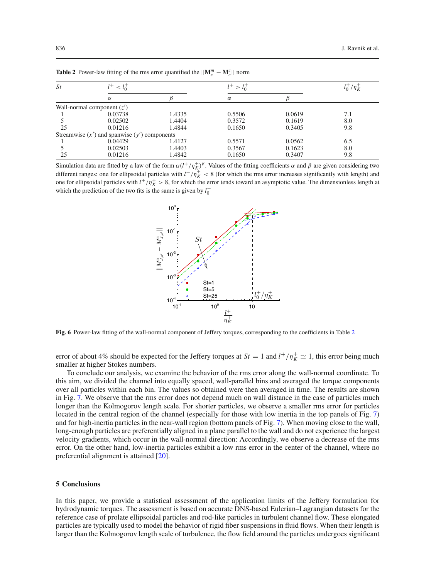<span id="page-9-0"></span>

| St | $< l_{\rm o}^+$                                  |        | $l^{+}$ > |        | $l_0^+/\eta_K^+$ |
|----|--------------------------------------------------|--------|-----------|--------|------------------|
|    | $\alpha$                                         |        | $\alpha$  |        |                  |
|    | Wall-normal component $(z')$                     |        |           |        |                  |
|    | 0.03738                                          | 1.4335 | 0.5506    | 0.0619 | 7.1              |
|    | 0.02502                                          | 1.4404 | 0.3572    | 0.1619 | 8.0              |
| 25 | 0.01216                                          | 1.4844 | 0.1650    | 0.3405 | 9.8              |
|    | Streamwise $(x')$ and spanwise $(y')$ components |        |           |        |                  |
|    | 0.04429                                          | 1.4127 | 0.5571    | 0.0562 | 6.5              |
|    | 0.02503                                          | 1.4403 | 0.3567    | 0.1623 | 8.0              |
| 25 | 0.01216                                          | 1.4842 | 0.1650    | 0.3407 | 9.8              |

**Table 2** Power-law fitting of the rms error quantified the  $||\mathbf{M}_c^m - \mathbf{M}_c^c||$  norm

Simulation data are fitted by a law of the form  $\alpha(l^+/n_K^+)^{\beta}$ . Values of the fitting coefficients  $\alpha$  and  $\beta$  are given considering two different ranges: one for ellipsoidal particles with  $l^+/n_K^+ < 8$  (for which the rms error increases significantly with length) and one for ellipsoidal particles with  $l^+/n_K^+ > 8$ , for which the error tends toward an asymptotic value. The dimensionless length at which the prediction of the two fits is the same is given by  $l_0^+$ 



<span id="page-9-1"></span>**Fig. 6** Power-law fitting of the wall-normal component of Jeffery torques, corresponding to the coefficients in Table [2](#page-9-0)

error of about 4% should be expected for the Jeffery torques at  $St = 1$  and  $l^+/\eta_K^+ \simeq 1$ , this error being much smaller at higher Stokes numbers.

To conclude our analysis, we examine the behavior of the rms error along the wall-normal coordinate. To this aim, we divided the channel into equally spaced, wall-parallel bins and averaged the torque components over all particles within each bin. The values so obtained were then averaged in time. The results are shown in Fig. [7.](#page-10-0) We observe that the rms error does not depend much on wall distance in the case of particles much longer than the Kolmogorov length scale. For shorter particles, we observe a smaller rms error for particles located in the central region of the channel (especially for those with low inertia in the top panels of Fig. [7\)](#page-10-0) and for high-inertia particles in the near-wall region (bottom panels of Fig. [7\)](#page-10-0). When moving close to the wall, long-enough particles are preferentially aligned in a plane parallel to the wall and do not experience the largest velocity gradients, which occur in the wall-normal direction: Accordingly, we observe a decrease of the rms error. On the other hand, low-inertia particles exhibit a low rms error in the center of the channel, where no preferential alignment is attained [\[20](#page-11-18)].

## **5 Conclusions**

In this paper, we provide a statistical assessment of the application limits of the Jeffery formulation for hydrodynamic torques. The assessment is based on accurate DNS-based Eulerian–Lagrangian datasets for the reference case of prolate ellipsoidal particles and rod-like particles in turbulent channel flow. These elongated particles are typically used to model the behavior of rigid fiber suspensions in fluid flows. When their length is larger than the Kolmogorov length scale of turbulence, the flow field around the particles undergoes significant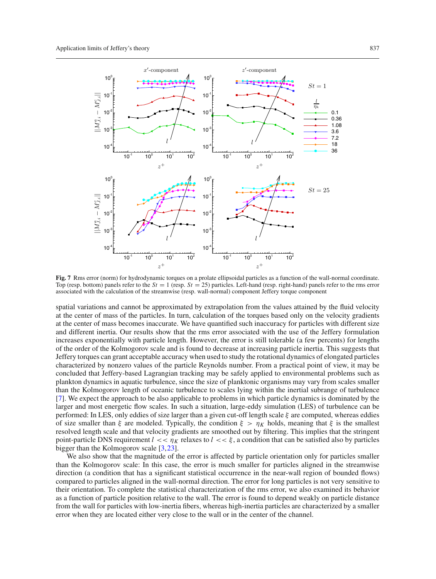

<span id="page-10-0"></span>**Fig. 7** Rms error (norm) for hydrodynamic torques on a prolate ellipsoidal particles as a function of the wall-normal coordinate. Top (resp. bottom) panels refer to the *St* = 1 (resp. *St* = 25) particles. Left-hand (resp. right-hand) panels refer to the rms error associated with the calculation of the streamwise (resp. wall-normal) component Jeffery torque component

spatial variations and cannot be approximated by extrapolation from the values attained by the fluid velocity at the center of mass of the particles. In turn, calculation of the torques based only on the velocity gradients at the center of mass becomes inaccurate. We have quantified such inaccuracy for particles with different size and different inertia. Our results show that the rms error associated with the use of the Jeffery formulation increases exponentially with particle length. However, the error is still tolerable (a few percents) for lengths of the order of the Kolmogorov scale and is found to decrease at increasing particle inertia. This suggests that Jeffery torques can grant acceptable accuracy when used to study the rotational dynamics of elongated particles characterized by nonzero values of the particle Reynolds number. From a practical point of view, it may be concluded that Jeffery-based Lagrangian tracking may be safely applied to environmental problems such as plankton dynamics in aquatic turbulence, since the size of planktonic organisms may vary from scales smaller than the Kolmogorov length of oceanic turbulence to scales lying within the inertial subrange of turbulence [\[7\]](#page-11-1). We expect the approach to be also applicable to problems in which particle dynamics is dominated by the larger and most energetic flow scales. In such a situation, large-eddy simulation (LES) of turbulence can be performed: In LES, only eddies of size larger than a given cut-off length scale  $\xi$  are computed, whereas eddies of size smaller than  $\xi$  are modeled. Typically, the condition  $\xi > \eta_K$  holds, meaning that  $\xi$  is the smallest resolved length scale and that velocity gradients are smoothed out by filtering. This implies that the stringent point-particle DNS requirement  $l \ll n_K$  relaxes to  $l \ll \xi$ , a condition that can be satisfied also by particles bigger than the Kolmogorov scale [\[3](#page-11-35)[,23\]](#page-11-36).

We also show that the magnitude of the error is affected by particle orientation only for particles smaller than the Kolmogorov scale: In this case, the error is much smaller for particles aligned in the streamwise direction (a condition that has a significant statistical occurrence in the near-wall region of bounded flows) compared to particles aligned in the wall-normal direction. The error for long particles is not very sensitive to their orientation. To complete the statistical characterization of the rms error, we also examined its behavior as a function of particle position relative to the wall. The error is found to depend weakly on particle distance from the wall for particles with low-inertia fibers, whereas high-inertia particles are characterized by a smaller error when they are located either very close to the wall or in the center of the channel.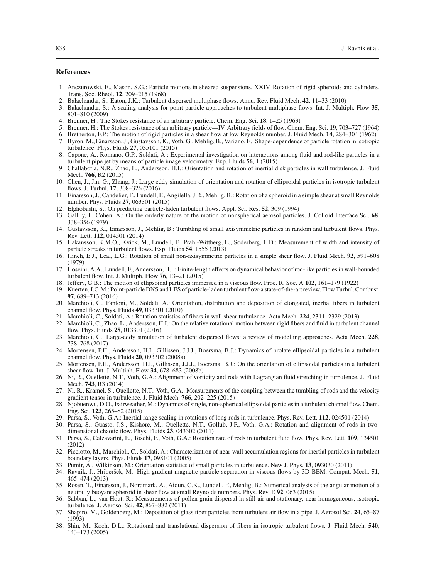### **References**

- <span id="page-11-26"></span>1. Anczurowski, E., Mason, S.G.: Particle motions in sheared suspensions. XXIV. Rotation of rigid spheroids and cylinders. Trans. Soc. Rheol. **12**, 209–215 (1968)
- <span id="page-11-15"></span>2. Balachandar, S., Eaton, J.K.: Turbulent dispersed multiphase flows. Annu. Rev. Fluid Mech. **42**, 11–33 (2010)
- <span id="page-11-35"></span>3. Balachandar, S.: A scaling analysis for point-particle approaches to turbulent multiphase flows. Int. J. Multiph. Flow **35**, 801–810 (2009)
- <span id="page-11-22"></span>4. Brenner, H.: The Stokes resistance of an arbitrary particle. Chem. Eng. Sci. **18**, 1–25 (1963)
- <span id="page-11-23"></span>5. Brenner, H.: The Stokes resistance of an arbitrary particle—IV. Arbitrary fields of flow. Chem. Eng. Sci. **19**, 703–727 (1964)
- <span id="page-11-25"></span>6. Bretherton, F.P.: The motion of rigid particles in a shear flow at low Reynolds number. J. Fluid Mech. **14**, 284–304 (1962)
- <span id="page-11-1"></span>7. Byron, M., Einarsson, J., Gustavsson, K., Voth, G., Mehlig, B., Variano, E.: Shape-dependence of particle rotation in isotropic turbulence. Phys. Fluids **27**, 035101 (2015)
- <span id="page-11-8"></span>8. Capone, A., Romano, G.P., Soldati, A.: Experimental investigation on interactions among fluid and rod-like particles in a turbulent pipe jet by means of particle image velocimetry. Exp. Fluids **56**, 1 (2015)
- <span id="page-11-2"></span>9. Challabotla, N.R., Zhao, L., Andersson, H.I.: Orientation and rotation of inertial disk particles in wall turbulence. J. Fluid Mech. **766**, R2 (2015)
- 10. Chen, J., Jin, G., Zhang, J.: Large eddy simulation of orientation and rotation of ellipsoidal particles in isotropic turbulent flows. J. Turbul. **17**, 308–326 (2016)
- <span id="page-11-3"></span>11. Einarsson, J., Candelier, F., Lundell, F., Angilella, J.R., Mehlig, B.: Rotation of a spheroid in a simple shear at small Reynolds number. Phys. Fluids **27**, 063301 (2015)
- <span id="page-11-33"></span>12. Elghobashi, S.: On predicting particle-laden turbulent flows. Appl. Sci. Res. **52**, 309 (1994)
- <span id="page-11-24"></span>13. Gallily, I., Cohen, A.: On the orderly nature of the motion of nonspherical aerosol particles. J. Colloid Interface Sci. **68**, 338–356 (1979)
- <span id="page-11-4"></span>14. Gustavsson, K., Einarsson, J., Mehlig, B.: Tumbling of small axisymmetric particles in random and turbulent flows. Phys. Rev. Lett. **112**, 014501 (2014)
- <span id="page-11-9"></span>15. Hakansson, K.M.O., Kvick, M., Lundell, F., Prahl-Wittberg, L., Soderberg, L.D.: Measurement of width and intensity of particle streaks in turbulent flows. Exp. Fluids **54**, 1555 (2013)
- <span id="page-11-17"></span>16. Hinch, E.J., Leal, L.G.: Rotation of small non-axisymmetric particles in a simple shear flow. J. Fluid Mech. **92**, 591–608 (1979)
- <span id="page-11-10"></span>17. Hoseini, A.A., Lundell, F., Andersson, H.I.: Finite-length effects on dynamical behavior of rod-like particles in wall-bounded turbulent flow. Int. J. Multiph. Flow **76**, 13–21 (2015)
- <span id="page-11-0"></span>18. Jeffery, G.B.: The motion of ellipsoidal particles immersed in a viscous flow. Proc. R. Soc. A **102**, 161–179 (1922)
- <span id="page-11-16"></span>19. Kuerten, J.G.M.: Point-particle DNS and LES of particle-laden turbulent flow-a state-of-the-art review. Flow Turbul. Combust. **97**, 689–713 (2016)
- <span id="page-11-18"></span>20. Marchioli, C., Fantoni, M., Soldati, A.: Orientation, distribution and deposition of elongated, inertial fibers in turbulent channel flow. Phys. Fluids **49**, 033301 (2010)
- <span id="page-11-5"></span>21. Marchioli, C., Soldati, A.: Rotation statistics of fibers in wall shear turbulence. Acta Mech. **224**, 2311–2329 (2013)
- <span id="page-11-19"></span>22. Marchioli, C., Zhao, L., Andersson, H.I.: On the relative rotational motion between rigid fibers and fluid in turbulent channel flow. Phys. Fluids **28**, 013301 (2016)
- <span id="page-11-36"></span>23. Marchioli, C.: Large-eddy simulation of turbulent dispersed flows: a review of modelling approaches. Acta Mech. **228**, 738–768 (2017)
- <span id="page-11-20"></span>24. Mortensen, P.H., Andersson, H.I., Gillissen, J.J.J., Boersma, B.J.: Dynamics of prolate ellipsoidal particles in a turbulent channel flow. Phys. Fluids **20**, 093302 (2008a)
- <span id="page-11-21"></span>25. Mortensen, P.H., Andersson, H.I., Gillissen, J.J.J., Boersma, B.J.: On the orientation of ellipsoidal particles in a turbulent shear flow. Int. J. Multiph. Flow **34**, 678–683 (2008b)
- <span id="page-11-11"></span>26. Ni, R., Ouellette, N.T., Voth, G.A.: Alignment of vorticity and rods with Lagrangian fluid stretching in turbulence. J. Fluid Mech. **743**, R3 (2014)
- <span id="page-11-27"></span>27. Ni, R., Kramel, S., Ouellette, N.T., Voth, G.A.: Measurements of the coupling between the tumbling of rods and the velocity gradient tensor in turbulence. J. Fluid Mech. **766**, 202–225 (2015)
- <span id="page-11-6"></span>28. Njobuenwu, D.O., Fairweather, M.: Dynamics of single, non-spherical ellipsoidal particles in a turbulent channel flow. Chem. Eng. Sci. **123**, 265–82 (2015)
- <span id="page-11-29"></span>29. Parsa, S., Voth, G.A.: Inertial range scaling in rotations of long rods in turbulence. Phys. Rev. Lett. **112**, 024501 (2014)
- <span id="page-11-28"></span>30. Parsa, S., Guasto, J.S., Kishore, M., Ouellette, N.T., Gollub, J.P., Voth, G.A.: Rotation and alignment of rods in twodimensional chaotic flow. Phys. Fluids **23**, 043302 (2011)
- <span id="page-11-12"></span>31. Parsa, S., Calzavarini, E., Toschi, F., Voth, G.A.: Rotation rate of rods in turbulent fluid flow. Phys. Rev. Lett. **109**, 134501 (2012)
- <span id="page-11-32"></span>32. Picciotto, M., Marchioli, C., Soldati, A.: Characterization of near-wall accumulation regions for inertial particles in turbulent boundary layers. Phys. Fluids **17**, 098101 (2005)
- <span id="page-11-13"></span>33. Pumir, A., Wilkinson, M.: Orientation statistics of small particles in turbulence. New J. Phys. **13**, 093030 (2011)
- <span id="page-11-34"></span>34. Ravnik, J., Hriberšek, M.: High gradient magnetic particle separation in viscous flows by 3D BEM. Comput. Mech. **51**, 465–474 (2013)
- <span id="page-11-7"></span>35. Rosen, T., Einarsson, J., Nordmark, A., Aidun, C.K., Lundell, F., Mehlig, B.: Numerical analysis of the angular motion of a neutrally buoyant spheroid in shear flow at small Reynolds numbers. Phys. Rev. E **92**, 063 (2015)
- <span id="page-11-14"></span>36. Sabban, L., van Hout, R.: Measurements of pollen grain dispersal in still air and stationary, near homogeneous, isotropic turbulence. J. Aerosol Sci. **42**, 867–882 (2011)
- <span id="page-11-31"></span>37. Shapiro, M., Goldenberg, M.: Deposition of glass fiber particles from turbulent air flow in a pipe. J. Aerosol Sci. **24**, 65–87 (1993)
- <span id="page-11-30"></span>38. Shin, M., Koch, D.L.: Rotational and translational dispersion of fibers in isotropic turbulent flows. J. Fluid Mech. **540**, 143–173 (2005)